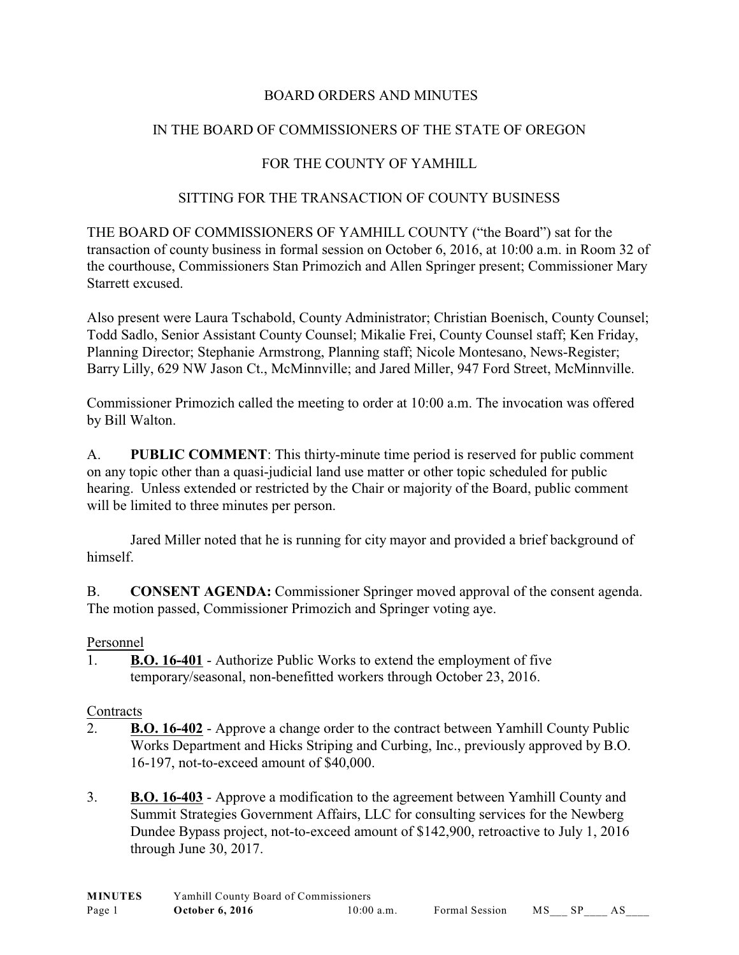# BOARD ORDERS AND MINUTES

## IN THE BOARD OF COMMISSIONERS OF THE STATE OF OREGON

## FOR THE COUNTY OF YAMHILL

### SITTING FOR THE TRANSACTION OF COUNTY BUSINESS

THE BOARD OF COMMISSIONERS OF YAMHILL COUNTY ("the Board") sat for the transaction of county business in formal session on October 6, 2016, at 10:00 a.m. in Room 32 of the courthouse, Commissioners Stan Primozich and Allen Springer present; Commissioner Mary Starrett excused.

Also present were Laura Tschabold, County Administrator; Christian Boenisch, County Counsel; Todd Sadlo, Senior Assistant County Counsel; Mikalie Frei, County Counsel staff; Ken Friday, Planning Director; Stephanie Armstrong, Planning staff; Nicole Montesano, News-Register; Barry Lilly, 629 NW Jason Ct., McMinnville; and Jared Miller, 947 Ford Street, McMinnville.

Commissioner Primozich called the meeting to order at 10:00 a.m. The invocation was offered by Bill Walton.

A. **PUBLIC COMMENT**: This thirty-minute time period is reserved for public comment on any topic other than a quasi-judicial land use matter or other topic scheduled for public hearing. Unless extended or restricted by the Chair or majority of the Board, public comment will be limited to three minutes per person.

Jared Miller noted that he is running for city mayor and provided a brief background of himself.

B. **CONSENT AGENDA:** Commissioner Springer moved approval of the consent agenda. The motion passed, Commissioner Primozich and Springer voting aye.

#### Personnel

1. **B.O. 16-401** - Authorize Public Works to extend the employment of five temporary/seasonal, non-benefitted workers through October 23, 2016.

#### **Contracts**

- 2. **B.O. 16-402** Approve a change order to the contract between Yamhill County Public Works Department and Hicks Striping and Curbing, Inc., previously approved by B.O. 16-197, not-to-exceed amount of \$40,000.
- 3. **B.O. 16-403** Approve a modification to the agreement between Yamhill County and Summit Strategies Government Affairs, LLC for consulting services for the Newberg Dundee Bypass project, not-to-exceed amount of \$142,900, retroactive to July 1, 2016 through June 30, 2017.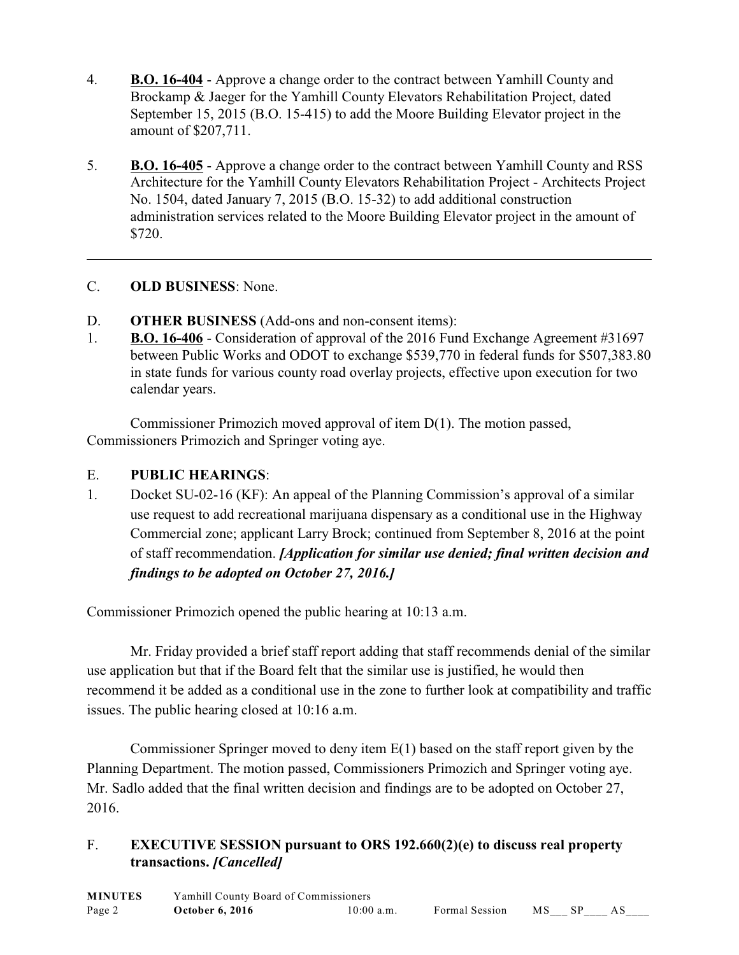- 4. **B.O. 16-404** Approve a change order to the contract between Yamhill County and Brockamp & Jaeger for the Yamhill County Elevators Rehabilitation Project, dated September 15, 2015 (B.O. 15-415) to add the Moore Building Elevator project in the amount of \$207,711.
- 5. **B.O. 16-405** Approve a change order to the contract between Yamhill County and RSS Architecture for the Yamhill County Elevators Rehabilitation Project - Architects Project No. 1504, dated January 7, 2015 (B.O. 15-32) to add additional construction administration services related to the Moore Building Elevator project in the amount of \$720.

### C. **OLD BUSINESS**: None.

- D. **OTHER BUSINESS** (Add-ons and non-consent items):
- 1. **B.O. 16-406** Consideration of approval of the 2016 Fund Exchange Agreement #31697 between Public Works and ODOT to exchange \$539,770 in federal funds for \$507,383.80 in state funds for various county road overlay projects, effective upon execution for two calendar years.

Commissioner Primozich moved approval of item D(1). The motion passed, Commissioners Primozich and Springer voting aye.

## E. **PUBLIC HEARINGS**:

1. Docket SU-02-16 (KF): An appeal of the Planning Commission's approval of a similar use request to add recreational marijuana dispensary as a conditional use in the Highway Commercial zone; applicant Larry Brock; continued from September 8, 2016 at the point of staff recommendation. *[Application for similar use denied; final written decision and findings to be adopted on October 27, 2016.]*

Commissioner Primozich opened the public hearing at 10:13 a.m.

Mr. Friday provided a brief staff report adding that staff recommends denial of the similar use application but that if the Board felt that the similar use is justified, he would then recommend it be added as a conditional use in the zone to further look at compatibility and traffic issues. The public hearing closed at 10:16 a.m.

Commissioner Springer moved to deny item E(1) based on the staff report given by the Planning Department. The motion passed, Commissioners Primozich and Springer voting aye. Mr. Sadlo added that the final written decision and findings are to be adopted on October 27, 2016.

# F. **EXECUTIVE SESSION pursuant to ORS 192.660(2)(e) to discuss real property transactions.** *[Cancelled]*